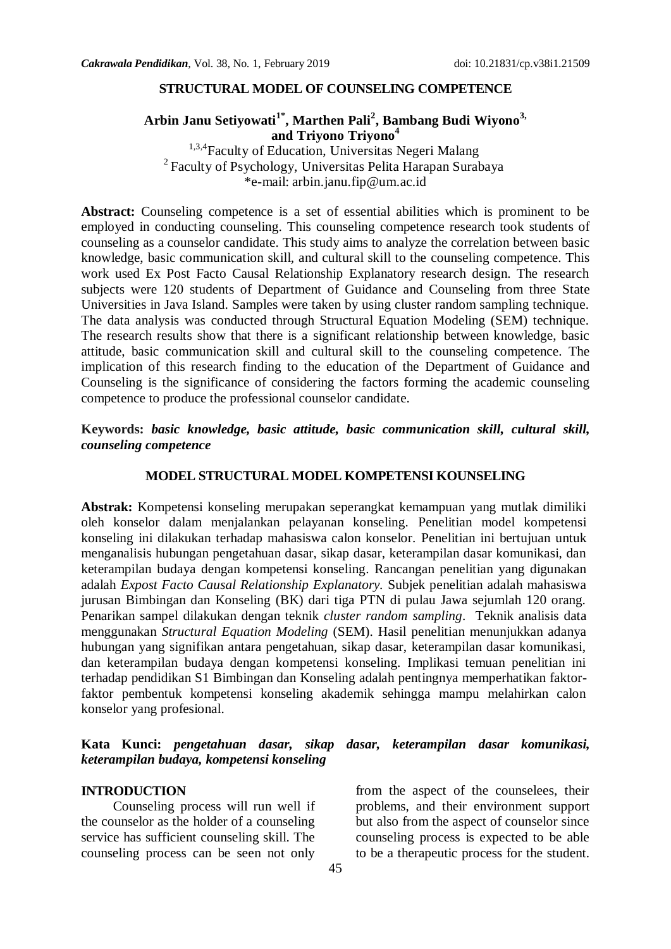#### **STRUCTURAL MODEL OF COUNSELING COMPETENCE**

### **Arbin Janu Setiyowati1\* , Marthen Pali<sup>2</sup> , Bambang Budi Wiyono3, and Triyono Triyono<sup>4</sup>**

<sup>1,3,4</sup> Faculty of Education, Universitas Negeri Malang <sup>2</sup> Faculty of Psychology, Universitas Pelita Harapan Surabaya \*e-mail: arbin.janu.fip@um.ac.id

**Abstract:** Counseling competence is a set of essential abilities which is prominent to be employed in conducting counseling. This counseling competence research took students of counseling as a counselor candidate. This study aims to analyze the correlation between basic knowledge, basic communication skill, and cultural skill to the counseling competence. This work used Ex Post Facto Causal Relationship Explanatory research design. The research subjects were 120 students of Department of Guidance and Counseling from three State Universities in Java Island. Samples were taken by using cluster random sampling technique. The data analysis was conducted through Structural Equation Modeling (SEM) technique. The research results show that there is a significant relationship between knowledge, basic attitude, basic communication skill and cultural skill to the counseling competence. The implication of this research finding to the education of the Department of Guidance and Counseling is the significance of considering the factors forming the academic counseling competence to produce the professional counselor candidate.

### **Keywords:** *basic knowledge, basic attitude, basic communication skill, cultural skill, counseling competence*

#### **MODEL STRUCTURAL MODEL KOMPETENSI KOUNSELING**

**Abstrak:** Kompetensi konseling merupakan seperangkat kemampuan yang mutlak dimiliki oleh konselor dalam menjalankan pelayanan konseling. Penelitian model kompetensi konseling ini dilakukan terhadap mahasiswa calon konselor. Penelitian ini bertujuan untuk menganalisis hubungan pengetahuan dasar, sikap dasar, keterampilan dasar komunikasi, dan keterampilan budaya dengan kompetensi konseling. Rancangan penelitian yang digunakan adalah *Expost Facto Causal Relationship Explanatory.* Subjek penelitian adalah mahasiswa jurusan Bimbingan dan Konseling (BK) dari tiga PTN di pulau Jawa sejumlah 120 orang. Penarikan sampel dilakukan dengan teknik *cluster random sampling*. Teknik analisis data menggunakan *Structural Equation Modeling* (SEM). Hasil penelitian menunjukkan adanya hubungan yang signifikan antara pengetahuan, sikap dasar, keterampilan dasar komunikasi, dan keterampilan budaya dengan kompetensi konseling. Implikasi temuan penelitian ini terhadap pendidikan S1 Bimbingan dan Konseling adalah pentingnya memperhatikan faktorfaktor pembentuk kompetensi konseling akademik sehingga mampu melahirkan calon konselor yang profesional.

### **Kata Kunci:** *pengetahuan dasar, sikap dasar, keterampilan dasar komunikasi, keterampilan budaya, kompetensi konseling*

#### **INTRODUCTION**

Counseling process will run well if the counselor as the holder of a counseling service has sufficient counseling skill. The counseling process can be seen not only

from the aspect of the counselees, their problems, and their environment support but also from the aspect of counselor since counseling process is expected to be able to be a therapeutic process for the student.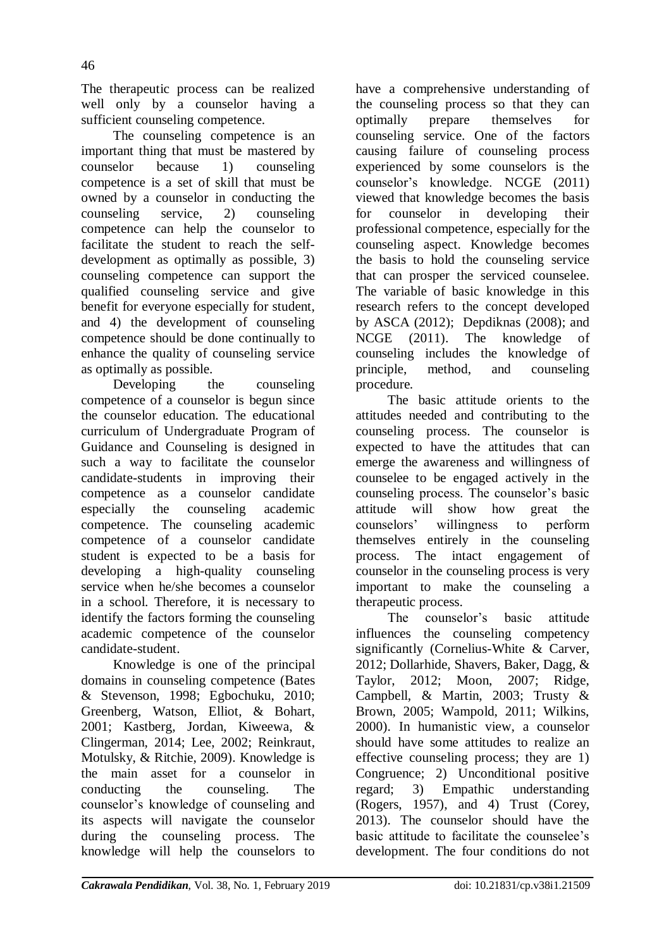The therapeutic process can be realized well only by a counselor having a sufficient counseling competence.

The counseling competence is an important thing that must be mastered by counselor because 1) counseling competence is a set of skill that must be owned by a counselor in conducting the counseling service, 2) counseling competence can help the counselor to facilitate the student to reach the selfdevelopment as optimally as possible, 3) counseling competence can support the qualified counseling service and give benefit for everyone especially for student, and 4) the development of counseling competence should be done continually to enhance the quality of counseling service as optimally as possible.

Developing the counseling competence of a counselor is begun since the counselor education. The educational curriculum of Undergraduate Program of Guidance and Counseling is designed in such a way to facilitate the counselor candidate-students in improving their competence as a counselor candidate especially the counseling academic competence. The counseling academic competence of a counselor candidate student is expected to be a basis for developing a high-quality counseling service when he/she becomes a counselor in a school. Therefore, it is necessary to identify the factors forming the counseling academic competence of the counselor candidate-student.

Knowledge is one of the principal domains in counseling competence (Bates & Stevenson, 1998; Egbochuku, 2010; Greenberg, Watson, Elliot, & Bohart, 2001; Kastberg, Jordan, Kiweewa, & Clingerman, 2014; Lee, 2002; Reinkraut, Motulsky, & Ritchie, 2009). Knowledge is the main asset for a counselor in conducting the counseling. The counselor's knowledge of counseling and its aspects will navigate the counselor during the counseling process. The knowledge will help the counselors to

have a comprehensive understanding of the counseling process so that they can optimally prepare themselves for counseling service. One of the factors causing failure of counseling process experienced by some counselors is the counselor's knowledge. NCGE (2011) viewed that knowledge becomes the basis for counselor in developing their professional competence, especially for the counseling aspect. Knowledge becomes the basis to hold the counseling service that can prosper the serviced counselee. The variable of basic knowledge in this research refers to the concept developed by ASCA (2012); Depdiknas (2008); and NCGE (2011). The knowledge of counseling includes the knowledge of principle, method, and counseling procedure.

The basic attitude orients to the attitudes needed and contributing to the counseling process. The counselor is expected to have the attitudes that can emerge the awareness and willingness of counselee to be engaged actively in the counseling process. The counselor's basic attitude will show how great the counselors' willingness to perform themselves entirely in the counseling process. The intact engagement of counselor in the counseling process is very important to make the counseling a therapeutic process.

The counselor's basic attitude influences the counseling competency significantly (Cornelius-White & Carver, 2012; Dollarhide, Shavers, Baker, Dagg, & Taylor, 2012; Moon, 2007; Ridge, Campbell, & Martin, 2003; Trusty & Brown, 2005; Wampold, 2011; Wilkins, 2000). In humanistic view, a counselor should have some attitudes to realize an effective counseling process; they are 1) Congruence; 2) Unconditional positive regard; 3) Empathic understanding (Rogers, 1957), and 4) Trust (Corey, 2013). The counselor should have the basic attitude to facilitate the counselee's development. The four conditions do not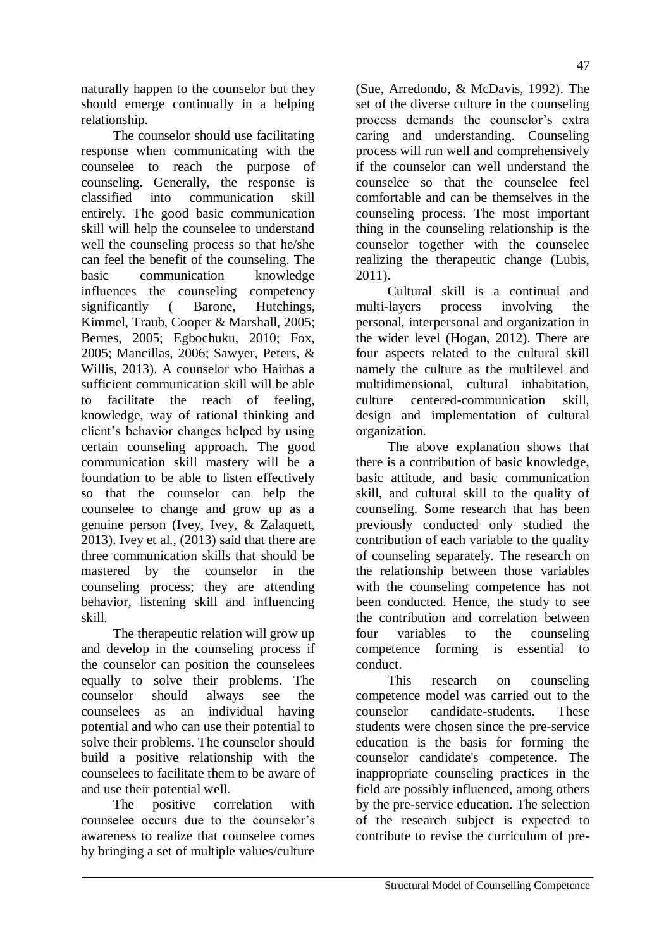naturally happen to the counselor but they should emerge continually in a helping relationship.

The counselor should use facilitating response when communicating with the counselee to reach the purpose of counseling. Generally, the response is classified into communication skill entirely. The good basic communication skill will help the counselee to understand well the counseling process so that he/she can feel the benefit of the counseling. The basic communication knowledge influences the counseling competency significantly ( Barone, Hutchings, Kimmel, Traub, Cooper & Marshall, 2005; Bernes, 2005; Egbochuku, 2010; Fox, 2005; Mancillas, 2006; Sawyer, Peters, & Willis, 2013). A counselor who Hairhas a sufficient communication skill will be able to facilitate the reach of feeling, knowledge, way of rational thinking and client's behavior changes helped by using certain counseling approach. The good communication skill mastery will be a foundation to be able to listen effectively so that the counselor can help the counselee to change and grow up as a genuine person (Ivey, Ivey, & Zalaquett, 2013). Ivey et al., (2013) said that there are three communication skills that should be mastered by the counselor in the counseling process; they are attending behavior, listening skill and influencing skill.

The therapeutic relation will grow up and develop in the counseling process if the counselor can position the counselees equally to solve their problems. The counselor should always see the counselees as an individual having potential and who can use their potential to solve their problems. The counselor should build a positive relationship with the counselees to facilitate them to be aware of and use their potential well.

The positive correlation with counselee occurs due to the counselor's awareness to realize that counselee comes by bringing a set of multiple values/culture

(Sue, Arredondo, & McDavis, 1992). The set of the diverse culture in the counseling process demands the counselor's extra caring and understanding. Counseling process will run well and comprehensively if the counselor can well understand the counselee so that the counselee feel comfortable and can be themselves in the counseling process. The most important thing in the counseling relationship is the counselor together with the counselee realizing the therapeutic change (Lubis, 2011).

Cultural skill is a continual and multi-layers process involving the personal, interpersonal and organization in the wider level (Hogan, 2012). There are four aspects related to the cultural skill namely the culture as the multilevel and multidimensional, cultural inhabitation, culture centered-communication skill, design and implementation of cultural organization.

The above explanation shows that there is a contribution of basic knowledge, basic attitude, and basic communication skill, and cultural skill to the quality of counseling. Some research that has been previously conducted only studied the contribution of each variable to the quality of counseling separately. The research on the relationship between those variables with the counseling competence has not been conducted. Hence, the study to see the contribution and correlation between four variables to the counseling competence forming is essential to conduct.

This research on counseling competence model was carried out to the counselor candidate-students. These students were chosen since the pre-service education is the basis for forming the counselor candidate's competence. The inappropriate counseling practices in the field are possibly influenced, among others by the pre-service education. The selection of the research subject is expected to contribute to revise the curriculum of pre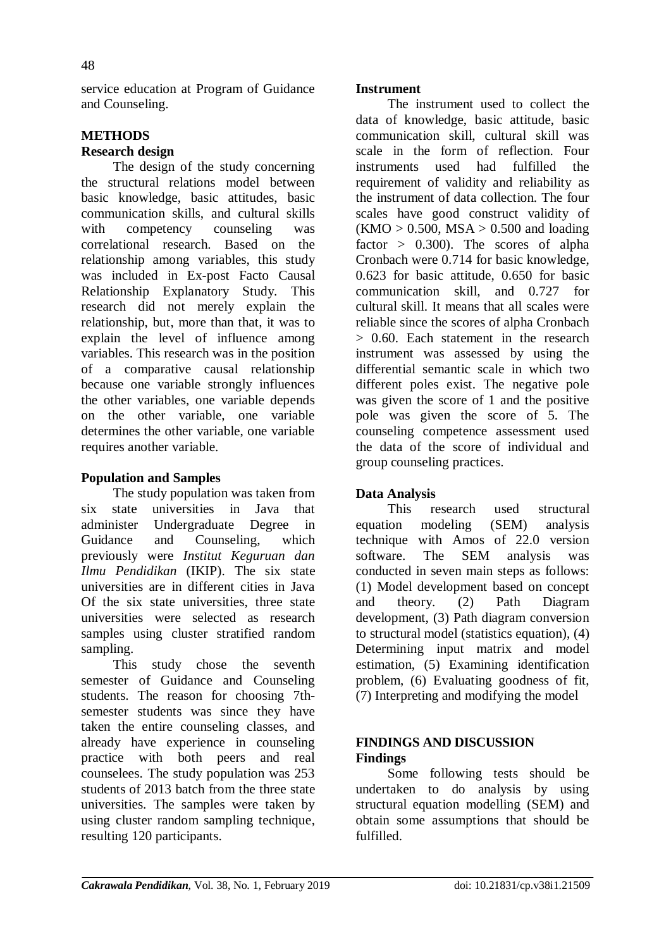service education at Program of Guidance and Counseling.

## **METHODS**

## **Research design**

The design of the study concerning the structural relations model between basic knowledge, basic attitudes, basic communication skills, and cultural skills with competency counseling was correlational research. Based on the relationship among variables, this study was included in Ex-post Facto Causal Relationship Explanatory Study. This research did not merely explain the relationship, but, more than that, it was to explain the level of influence among variables. This research was in the position of a comparative causal relationship because one variable strongly influences the other variables, one variable depends on the other variable, one variable determines the other variable, one variable requires another variable.

## **Population and Samples**

The study population was taken from six state universities in Java that administer Undergraduate Degree in Guidance and Counseling, which previously were *Institut Keguruan dan Ilmu Pendidikan* (IKIP). The six state universities are in different cities in Java Of the six state universities, three state universities were selected as research samples using cluster stratified random sampling.

This study chose the seventh semester of Guidance and Counseling students. The reason for choosing 7thsemester students was since they have taken the entire counseling classes, and already have experience in counseling practice with both peers and real counselees. The study population was 253 students of 2013 batch from the three state universities. The samples were taken by using cluster random sampling technique, resulting 120 participants.

## **Instrument**

The instrument used to collect the data of knowledge, basic attitude, basic communication skill, cultural skill was scale in the form of reflection. Four instruments used had fulfilled the requirement of validity and reliability as the instrument of data collection. The four scales have good construct validity of  $(KMO > 0.500, MSA > 0.500$  and loading factor  $> 0.300$ . The scores of alpha Cronbach were 0.714 for basic knowledge, 0.623 for basic attitude, 0.650 for basic communication skill, and 0.727 for cultural skill. It means that all scales were reliable since the scores of alpha Cronbach > 0.60. Each statement in the research instrument was assessed by using the differential semantic scale in which two different poles exist. The negative pole was given the score of 1 and the positive pole was given the score of 5. The counseling competence assessment used the data of the score of individual and group counseling practices.

## **Data Analysis**

This research used structural equation modeling (SEM) analysis technique with Amos of 22.0 version software. The SEM analysis was conducted in seven main steps as follows: (1) Model development based on concept and theory. (2) Path Diagram development, (3) Path diagram conversion to structural model (statistics equation), (4) Determining input matrix and model estimation, (5) Examining identification problem, (6) Evaluating goodness of fit, (7) Interpreting and modifying the model

### **FINDINGS AND DISCUSSION Findings**

Some following tests should be undertaken to do analysis by using structural equation modelling (SEM) and obtain some assumptions that should be fulfilled.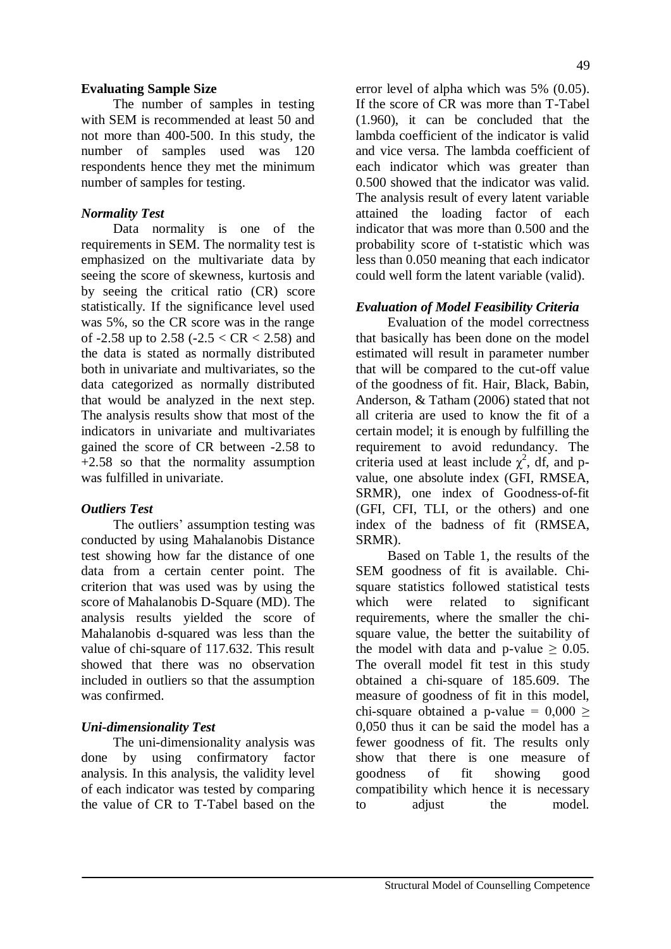## **Evaluating Sample Size**

The number of samples in testing with SEM is recommended at least 50 and not more than 400-500. In this study, the number of samples used was 120 respondents hence they met the minimum number of samples for testing.

### *Normality Test*

Data normality is one of the requirements in SEM. The normality test is emphasized on the multivariate data by seeing the score of skewness, kurtosis and by seeing the critical ratio (CR) score statistically. If the significance level used was 5%, so the CR score was in the range of -2.58 up to 2.58 (-2.5  $<$  CR  $<$  2.58) and the data is stated as normally distributed both in univariate and multivariates, so the data categorized as normally distributed that would be analyzed in the next step. The analysis results show that most of the indicators in univariate and multivariates gained the score of CR between -2.58 to +2.58 so that the normality assumption was fulfilled in univariate.

### *Outliers Test*

The outliers' assumption testing was conducted by using Mahalanobis Distance test showing how far the distance of one data from a certain center point. The criterion that was used was by using the score of Mahalanobis D-Square (MD). The analysis results yielded the score of Mahalanobis d-squared was less than the value of chi-square of 117.632. This result showed that there was no observation included in outliers so that the assumption was confirmed.

## *Uni-dimensionality Test*

The uni-dimensionality analysis was done by using confirmatory factor analysis. In this analysis, the validity level of each indicator was tested by comparing the value of CR to T-Tabel based on the error level of alpha which was 5% (0.05). If the score of CR was more than T-Tabel (1.960), it can be concluded that the lambda coefficient of the indicator is valid and vice versa. The lambda coefficient of each indicator which was greater than 0.500 showed that the indicator was valid. The analysis result of every latent variable attained the loading factor of each indicator that was more than 0.500 and the probability score of t-statistic which was less than 0.050 meaning that each indicator could well form the latent variable (valid).

### *Evaluation of Model Feasibility Criteria*

Evaluation of the model correctness that basically has been done on the model estimated will result in parameter number that will be compared to the cut-off value of the goodness of fit. Hair, Black, Babin, Anderson, & Tatham (2006) stated that not all criteria are used to know the fit of a certain model; it is enough by fulfilling the requirement to avoid redundancy. The criteria used at least include  $\chi^2$ , df, and pvalue, one absolute index (GFI, RMSEA, SRMR), one index of Goodness-of-fit (GFI, CFI, TLI, or the others) and one index of the badness of fit (RMSEA, SRMR).

Based on Table 1, the results of the SEM goodness of fit is available. Chisquare statistics followed statistical tests which were related to significant requirements, where the smaller the chisquare value, the better the suitability of the model with data and p-value  $> 0.05$ . The overall model fit test in this study obtained a chi-square of 185.609. The measure of goodness of fit in this model, chi-square obtained a p-value =  $0.000$  > 0,050 thus it can be said the model has a fewer goodness of fit. The results only show that there is one measure of goodness of fit showing good compatibility which hence it is necessary to adjust the model.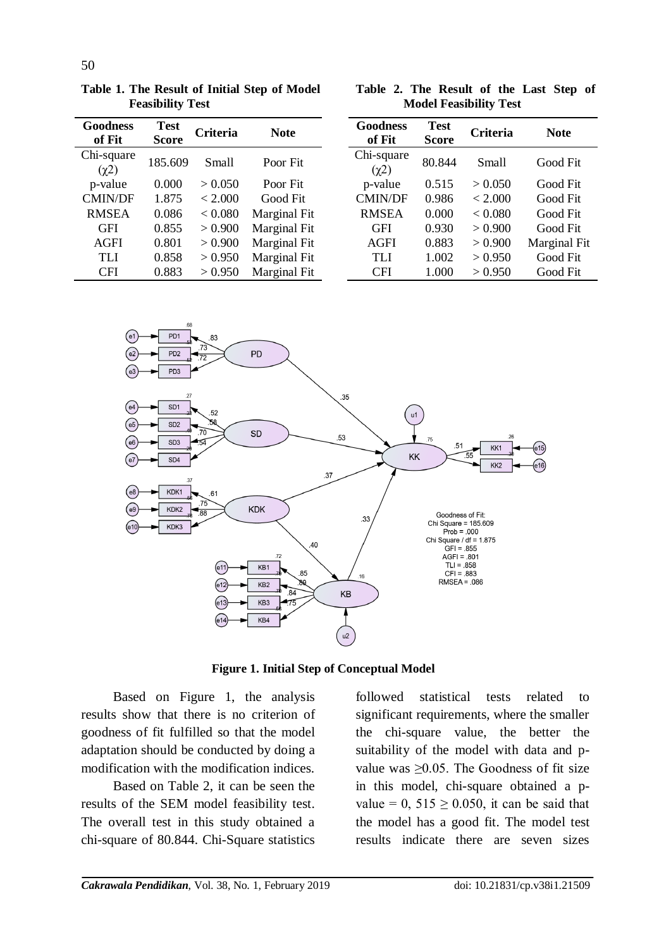| Goodness<br>of Fit       | <b>Test</b><br><b>Score</b> | <b>Criteria</b> | <b>Note</b>  |
|--------------------------|-----------------------------|-----------------|--------------|
| Chi-square<br>$(\chi^2)$ | 185.609                     | <b>Small</b>    | Poor Fit     |
| p-value                  | 0.000                       | > 0.050         | Poor Fit     |
| <b>CMIN/DF</b>           | 1.875                       | < 2.000         | Good Fit     |
| <b>RMSEA</b>             | 0.086                       | < 0.080         | Marginal Fit |
| GFI                      | 0.855                       | > 0.900         | Marginal Fit |
| <b>AGFI</b>              | 0.801                       | > 0.900         | Marginal Fit |
| TLI                      | 0.858                       | > 0.950         | Marginal Fit |
| <b>CFI</b>               | 0.883                       | > 0.950         | Marginal Fit |

**Table 1. The Result of Initial Step of Model** 

**Feasibility Test**

**Table 2. The Result of the Last Step of Model Feasibility Test**

| Goodness<br>of Fit       | <b>Test</b><br><b>Score</b> | <b>Criteria</b> | <b>Note</b>  |
|--------------------------|-----------------------------|-----------------|--------------|
| Chi-square<br>$(\chi^2)$ | 80.844                      | <b>Small</b>    | Good Fit     |
| p-value                  | 0.515                       | > 0.050         | Good Fit     |
| <b>CMIN/DF</b>           | 0.986                       | < 2.000         | Good Fit     |
| <b>RMSEA</b>             | 0.000                       | < 0.080         | Good Fit     |
| <b>GFI</b>               | 0.930                       | > 0.900         | Good Fit     |
| AGFI                     | 0.883                       | > 0.900         | Marginal Fit |
| TL J                     | 1.002                       | > 0.950         | Good Fit     |
| CFI                      | 1.000                       | > 0.950         | Good Fit     |



**Figure 1. Initial Step of Conceptual Model**

Based on Figure 1, the analysis results show that there is no criterion of goodness of fit fulfilled so that the model adaptation should be conducted by doing a modification with the modification indices.

Based on Table 2, it can be seen the results of the SEM model feasibility test. The overall test in this study obtained a chi-square of 80.844. Chi-Square statistics

followed statistical tests related to significant requirements, where the smaller the chi-square value, the better the suitability of the model with data and pvalue was  $\geq 0.05$ . The Goodness of fit size in this model, chi-square obtained a pvalue = 0,  $515 \ge 0.050$ , it can be said that the model has a good fit. The model test results indicate there are seven sizes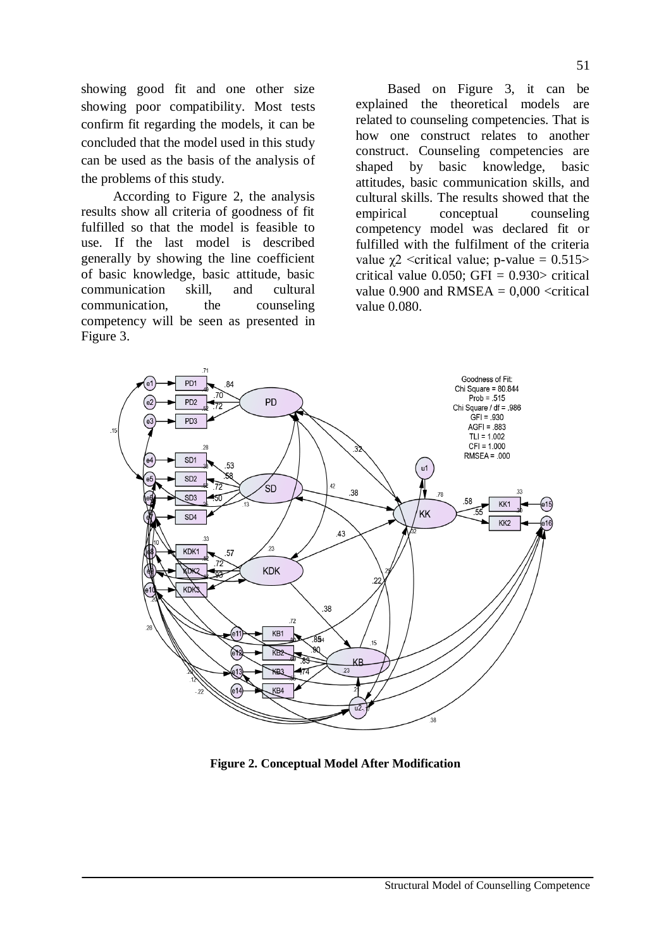showing good fit and one other size showing poor compatibility. Most tests confirm fit regarding the models, it can be concluded that the model used in this study can be used as the basis of the analysis of the problems of this study.

According to Figure 2, the analysis results show all criteria of goodness of fit fulfilled so that the model is feasible to use. If the last model is described generally by showing the line coefficient of basic knowledge, basic attitude, basic communication skill, and cultural communication, the counseling competency will be seen as presented in Figure 3.

Based on Figure 3, it can be explained the theoretical models are related to counseling competencies. That is how one construct relates to another construct. Counseling competencies are shaped by basic knowledge, basic attitudes, basic communication skills, and cultural skills. The results showed that the empirical conceptual counseling competency model was declared fit or fulfilled with the fulfilment of the criteria value  $\gamma$ 2 <critical value; p-value = 0.515> critical value  $0.050$ ; GFI =  $0.930$  critical value 0.900 and RMSEA  $= 0.000 \le$ critical value 0.080.



**Figure 2. Conceptual Model After Modification**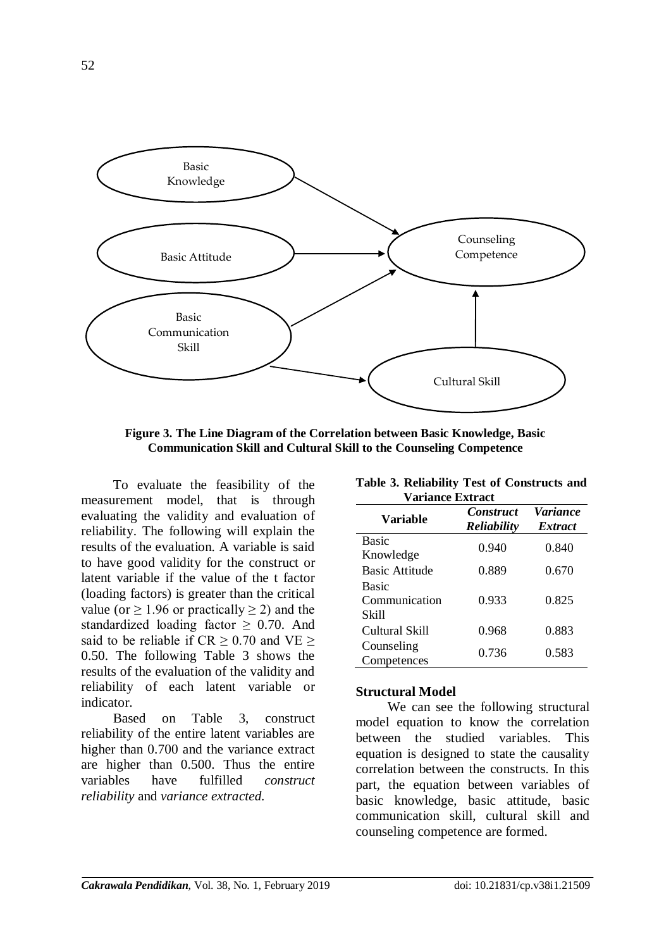

**Figure 3. The Line Diagram of the Correlation between Basic Knowledge, Basic Communication Skill and Cultural Skill to the Counseling Competence**

To evaluate the feasibility of the measurement model, that is through evaluating the validity and evaluation of reliability. The following will explain the results of the evaluation. A variable is said to have good validity for the construct or latent variable if the value of the t factor (loading factors) is greater than the critical value (or  $\geq 1.96$  or practically  $\geq 2$ ) and the standardized loading factor  $\geq$  0.70. And said to be reliable if  $CR > 0.70$  and  $VE >$ 0.50. The following Table 3 shows the results of the evaluation of the validity and reliability of each latent variable or indicator.

Based on Table 3, construct reliability of the entire latent variables are higher than 0.700 and the variance extract are higher than 0.500. Thus the entire variables have fulfilled *construct reliability* and *variance extracted.*

| <b>Variance Extract</b>                |                                        |                                          |  |  |  |
|----------------------------------------|----------------------------------------|------------------------------------------|--|--|--|
| Variable                               | <b>Construct</b><br><b>Reliability</b> | <i><b>Variance</b></i><br><i>Extract</i> |  |  |  |
| <b>Basic</b><br>Knowledge              | 0.940                                  | 0.840                                    |  |  |  |
| <b>Basic Attitude</b>                  | 0.889                                  | 0.670                                    |  |  |  |
| <b>Basic</b><br>Communication<br>Skill | 0.933                                  | 0.825                                    |  |  |  |
| Cultural Skill                         | 0.968                                  | 0.883                                    |  |  |  |
| Counseling<br>Competences              | 0.736                                  | 0.583                                    |  |  |  |

**Table 3. Reliability Test of Constructs and** 

#### **Structural Model**

We can see the following structural model equation to know the correlation between the studied variables. This equation is designed to state the causality correlation between the constructs. In this part, the equation between variables of basic knowledge, basic attitude, basic communication skill, cultural skill and counseling competence are formed.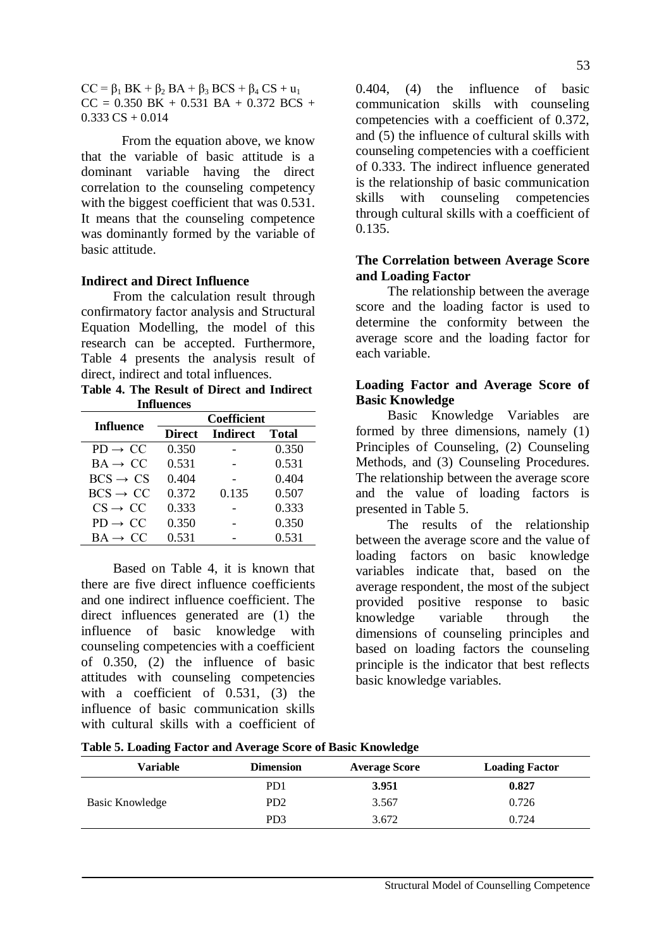$CC = \beta_1 BK + \beta_2 BA + \beta_3 BCS + \beta_4 CS + u_1$  $CC = 0.350$  BK + 0.531 BA + 0.372 BCS +  $0.333 \text{ CS} + 0.014$ 

From the equation above, we know that the variable of basic attitude is a dominant variable having the direct correlation to the counseling competency with the biggest coefficient that was 0.531. It means that the counseling competence was dominantly formed by the variable of basic attitude.

#### **Indirect and Direct Influence**

From the calculation result through confirmatory factor analysis and Structural Equation Modelling, the model of this research can be accepted. Furthermore, Table 4 presents the analysis result of direct, indirect and total influences.

**Table 4. The Result of Direct and Indirect Influences**

| <b>Influence</b>     | <b>Coefficient</b> |                 |              |  |  |  |
|----------------------|--------------------|-----------------|--------------|--|--|--|
|                      | <b>Direct</b>      | <b>Indirect</b> | <b>Total</b> |  |  |  |
| $PD \rightarrow CC$  | 0.350              |                 | 0.350        |  |  |  |
| $BA \rightarrow CC$  | 0.531              |                 | 0.531        |  |  |  |
| $BCS \rightarrow CS$ | 0.404              |                 | 0.404        |  |  |  |
| $BCS \rightarrow CC$ | 0.372              | 0.135           | 0.507        |  |  |  |
| $CS \rightarrow CC$  | 0.333              |                 | 0.333        |  |  |  |
| $PD \rightarrow CC$  | 0.350              |                 | 0.350        |  |  |  |
| $BA \rightarrow CC$  | 0.531              |                 | 0.531        |  |  |  |

Based on Table 4, it is known that there are five direct influence coefficients and one indirect influence coefficient. The direct influences generated are (1) the influence of basic knowledge with counseling competencies with a coefficient of 0.350, (2) the influence of basic attitudes with counseling competencies with a coefficient of 0.531, (3) the influence of basic communication skills with cultural skills with a coefficient of

0.404, (4) the influence of basic communication skills with counseling competencies with a coefficient of 0.372, and (5) the influence of cultural skills with counseling competencies with a coefficient of 0.333. The indirect influence generated is the relationship of basic communication skills with counseling competencies through cultural skills with a coefficient of 0.135.

### **The Correlation between Average Score and Loading Factor**

The relationship between the average score and the loading factor is used to determine the conformity between the average score and the loading factor for each variable.

### **Loading Factor and Average Score of Basic Knowledge**

Basic Knowledge Variables are formed by three dimensions, namely (1) Principles of Counseling, (2) Counseling Methods, and (3) Counseling Procedures. The relationship between the average score and the value of loading factors is presented in Table 5.

The results of the relationship between the average score and the value of loading factors on basic knowledge variables indicate that, based on the average respondent, the most of the subject provided positive response to basic knowledge variable through the dimensions of counseling principles and based on loading factors the counseling principle is the indicator that best reflects basic knowledge variables.

|  |  |  | Table 5. Loading Factor and Average Score of Basic Knowledge |  |  |  |
|--|--|--|--------------------------------------------------------------|--|--|--|
|  |  |  |                                                              |  |  |  |

| Variable        | <b>Dimension</b>            | <b>Average Score</b> | <b>Loading Factor</b> |
|-----------------|-----------------------------|----------------------|-----------------------|
|                 | P <sub>D</sub> 1            | 3.951                | 0.827                 |
| Basic Knowledge | P <sub>D</sub> <sub>2</sub> | 3.567                | 0.726                 |
|                 | P <sub>D</sub> 3            | 3.672                | 0.724                 |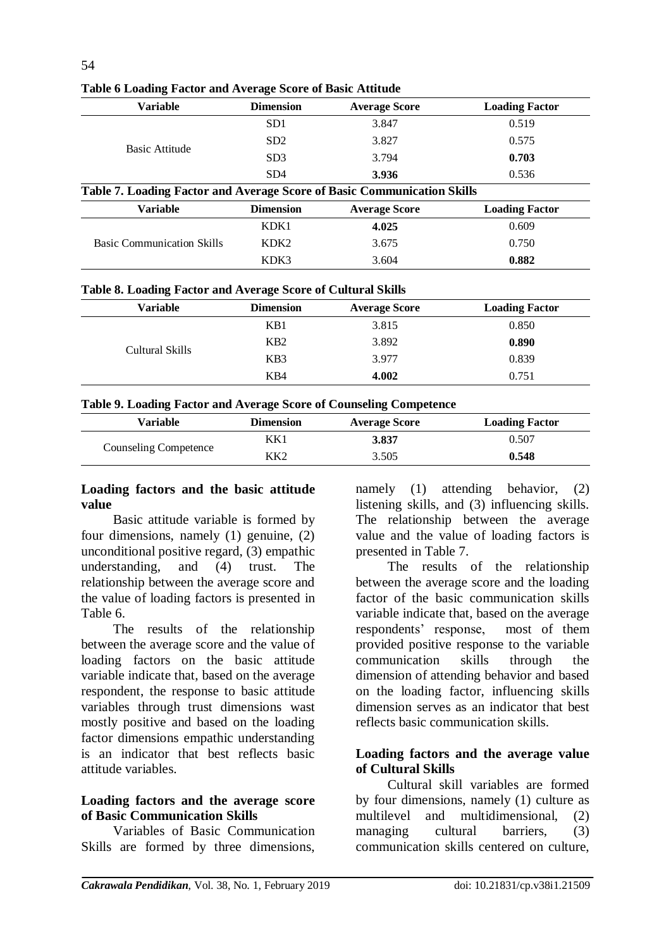| <b>Variable</b>                                                         | <b>Dimension</b> | <b>Average Score</b> | <b>Loading Factor</b> |  |
|-------------------------------------------------------------------------|------------------|----------------------|-----------------------|--|
|                                                                         | SD <sub>1</sub>  | 3.847                | 0.519                 |  |
| Basic Attitude                                                          | SD <sub>2</sub>  | 3.827                | 0.575                 |  |
|                                                                         | SD <sub>3</sub>  | 3.794                | 0.703                 |  |
|                                                                         | SD <sub>4</sub>  | 3.936                | 0.536                 |  |
| Table 7. Loading Factor and Average Score of Basic Communication Skills |                  |                      |                       |  |
| <b>Variable</b>                                                         | <b>Dimension</b> | <b>Average Score</b> | <b>Loading Factor</b> |  |
|                                                                         | KDK1             | 4.025                | 0.609                 |  |
| <b>Basic Communication Skills</b>                                       | KDK <sub>2</sub> | 3.675                | 0.750                 |  |
|                                                                         | KDK3             | 3.604                | 0.882                 |  |

**Table 6 Loading Factor and Average Score of Basic Attitude**

|  |  |  |  | Table 8. Loading Factor and Average Score of Cultural Skills |  |
|--|--|--|--|--------------------------------------------------------------|--|
|  |  |  |  |                                                              |  |

| Variable        | <b>Dimension</b> | <b>Average Score</b> | <b>Loading Factor</b> |
|-----------------|------------------|----------------------|-----------------------|
|                 | KB1              | 3.815                | 0.850                 |
| Cultural Skills | K <sub>B</sub> 2 | 3.892                | 0.890                 |
|                 | K <sub>B</sub> 3 | 3.977                | 0.839                 |
|                 | KB4              | 4.002                | 0.751                 |

#### **Table 9. Loading Factor and Average Score of Counseling Competence**

| Variable                     | Dimension | <b>Average Score</b> | <b>Loading Factor</b> |
|------------------------------|-----------|----------------------|-----------------------|
|                              | KK1       | 3.837                | 0.507                 |
| <b>Counseling Competence</b> | KK2       | 3.505                | 0.548                 |

#### **Loading factors and the basic attitude value**

Basic attitude variable is formed by four dimensions, namely (1) genuine, (2) unconditional positive regard, (3) empathic understanding, and (4) trust. The relationship between the average score and the value of loading factors is presented in Table 6.

The results of the relationship between the average score and the value of loading factors on the basic attitude variable indicate that, based on the average respondent, the response to basic attitude variables through trust dimensions wast mostly positive and based on the loading factor dimensions empathic understanding is an indicator that best reflects basic attitude variables.

### **Loading factors and the average score of Basic Communication Skills**

Variables of Basic Communication Skills are formed by three dimensions,

namely (1) attending behavior, (2) listening skills, and (3) influencing skills. The relationship between the average value and the value of loading factors is presented in Table 7.

The results of the relationship between the average score and the loading factor of the basic communication skills variable indicate that, based on the average respondents' response, most of them provided positive response to the variable communication skills through the dimension of attending behavior and based on the loading factor, influencing skills dimension serves as an indicator that best reflects basic communication skills.

### **Loading factors and the average value of Cultural Skills**

Cultural skill variables are formed by four dimensions, namely (1) culture as multilevel and multidimensional, (2) managing cultural barriers, (3) communication skills centered on culture,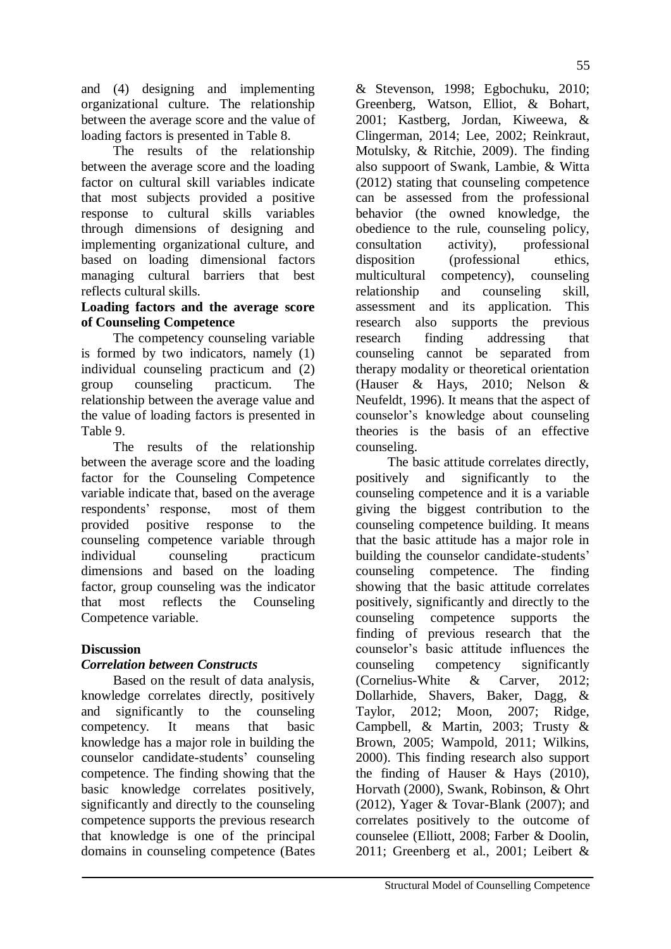and (4) designing and implementing organizational culture. The relationship between the average score and the value of loading factors is presented in Table 8.

The results of the relationship between the average score and the loading factor on cultural skill variables indicate that most subjects provided a positive response to cultural skills variables through dimensions of designing and implementing organizational culture, and based on loading dimensional factors managing cultural barriers that best reflects cultural skills.

## **Loading factors and the average score of Counseling Competence**

The competency counseling variable is formed by two indicators, namely (1) individual counseling practicum and (2) group counseling practicum. The relationship between the average value and the value of loading factors is presented in Table 9.

The results of the relationship between the average score and the loading factor for the Counseling Competence variable indicate that, based on the average respondents' response, most of them provided positive response to the counseling competence variable through individual counseling practicum dimensions and based on the loading factor, group counseling was the indicator that most reflects the Counseling Competence variable.

# **Discussion**

# *Correlation between Constructs*

Based on the result of data analysis, knowledge correlates directly, positively and significantly to the counseling competency. It means that basic knowledge has a major role in building the counselor candidate-students' counseling competence. The finding showing that the basic knowledge correlates positively, significantly and directly to the counseling competence supports the previous research that knowledge is one of the principal domains in counseling competence (Bates

& Stevenson, 1998; Egbochuku, 2010; Greenberg, Watson, Elliot, & Bohart, 2001; Kastberg, Jordan, Kiweewa, & Clingerman, 2014; Lee, 2002; Reinkraut, Motulsky, & Ritchie, 2009). The finding also suppoort of Swank, Lambie, & Witta (2012) stating that counseling competence can be assessed from the professional behavior (the owned knowledge, the obedience to the rule, counseling policy, consultation activity), professional disposition (professional ethics, multicultural competency), counseling relationship and counseling skill, assessment and its application. This research also supports the previous research finding addressing that counseling cannot be separated from therapy modality or theoretical orientation (Hauser & Hays, 2010; Nelson & Neufeldt, 1996). It means that the aspect of counselor's knowledge about counseling theories is the basis of an effective counseling.

The basic attitude correlates directly, positively and significantly to the counseling competence and it is a variable giving the biggest contribution to the counseling competence building. It means that the basic attitude has a major role in building the counselor candidate-students' counseling competence. The finding showing that the basic attitude correlates positively, significantly and directly to the counseling competence supports the finding of previous research that the counselor's basic attitude influences the counseling competency significantly (Cornelius-White & Carver, 2012; Dollarhide, Shavers, Baker, Dagg, & Taylor, 2012; Moon, 2007; Ridge, Campbell, & Martin, 2003; Trusty & Brown, 2005; Wampold, 2011; Wilkins, 2000). This finding research also support the finding of Hauser & Hays (2010), Horvath (2000), Swank, Robinson, & Ohrt (2012), Yager & Tovar-Blank (2007); and correlates positively to the outcome of counselee (Elliott, 2008; Farber & Doolin, 2011; Greenberg et al., 2001; Leibert &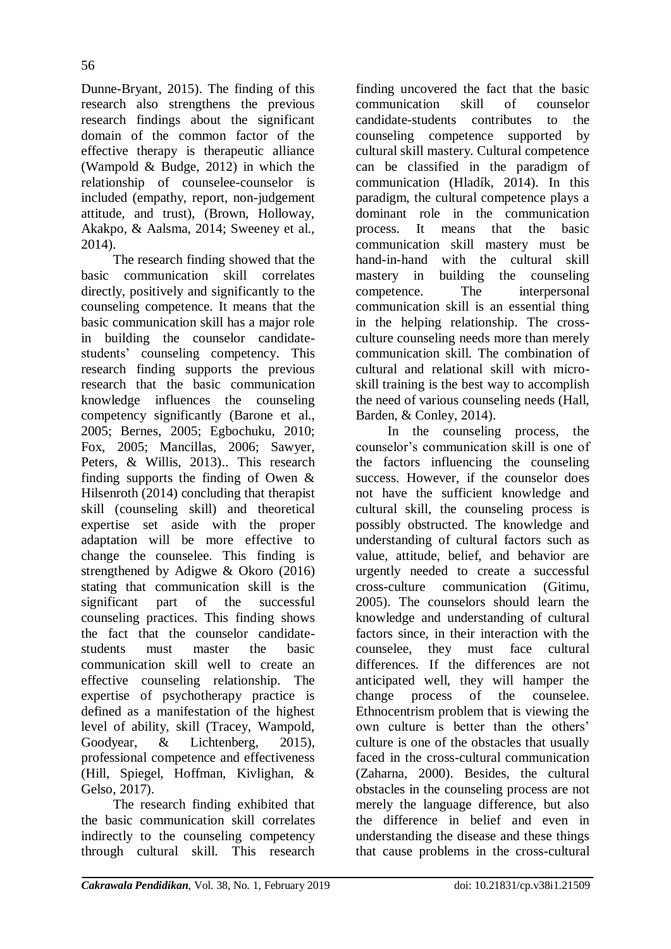Dunne-Bryant, 2015). The finding of this research also strengthens the previous research findings about the significant domain of the common factor of the effective therapy is therapeutic alliance

(Wampold & Budge, 2012) in which the relationship of counselee-counselor is included (empathy, report, non-judgement attitude, and trust), (Brown, Holloway, Akakpo, & Aalsma, 2014; Sweeney et al., 2014).

The research finding showed that the basic communication skill correlates directly, positively and significantly to the counseling competence. It means that the basic communication skill has a major role in building the counselor candidatestudents' counseling competency. This research finding supports the previous research that the basic communication knowledge influences the counseling competency significantly (Barone et al., 2005; Bernes, 2005; Egbochuku, 2010; Fox, 2005; Mancillas, 2006; Sawyer, Peters, & Willis, 2013).. This research finding supports the finding of Owen & Hilsenroth (2014) concluding that therapist skill (counseling skill) and theoretical expertise set aside with the proper adaptation will be more effective to change the counselee. This finding is strengthened by Adigwe & Okoro (2016) stating that communication skill is the significant part of the successful counseling practices. This finding shows the fact that the counselor candidatestudents must master the basic communication skill well to create an effective counseling relationship. The expertise of psychotherapy practice is defined as a manifestation of the highest level of ability, skill (Tracey, Wampold, Goodyear, & Lichtenberg, 2015), professional competence and effectiveness (Hill, Spiegel, Hoffman, Kivlighan, & Gelso, 2017).

The research finding exhibited that the basic communication skill correlates indirectly to the counseling competency through cultural skill. This research

finding uncovered the fact that the basic communication skill of counselor candidate-students contributes to the counseling competence supported by cultural skill mastery. Cultural competence can be classified in the paradigm of communication (Hladík, 2014). In this paradigm, the cultural competence plays a dominant role in the communication process. It means that the basic communication skill mastery must be hand-in-hand with the cultural skill mastery in building the counseling competence. The interpersonal communication skill is an essential thing in the helping relationship. The crossculture counseling needs more than merely communication skill. The combination of cultural and relational skill with microskill training is the best way to accomplish the need of various counseling needs (Hall, Barden, & Conley, 2014).

In the counseling process, the counselor's communication skill is one of the factors influencing the counseling success. However, if the counselor does not have the sufficient knowledge and cultural skill, the counseling process is possibly obstructed. The knowledge and understanding of cultural factors such as value, attitude, belief, and behavior are urgently needed to create a successful cross-culture communication (Gitimu, 2005). The counselors should learn the knowledge and understanding of cultural factors since, in their interaction with the counselee, they must face cultural differences. If the differences are not anticipated well, they will hamper the change process of the counselee. Ethnocentrism problem that is viewing the own culture is better than the others' culture is one of the obstacles that usually faced in the cross-cultural communication (Zaharna, 2000). Besides, the cultural obstacles in the counseling process are not merely the language difference, but also the difference in belief and even in understanding the disease and these things that cause problems in the cross-cultural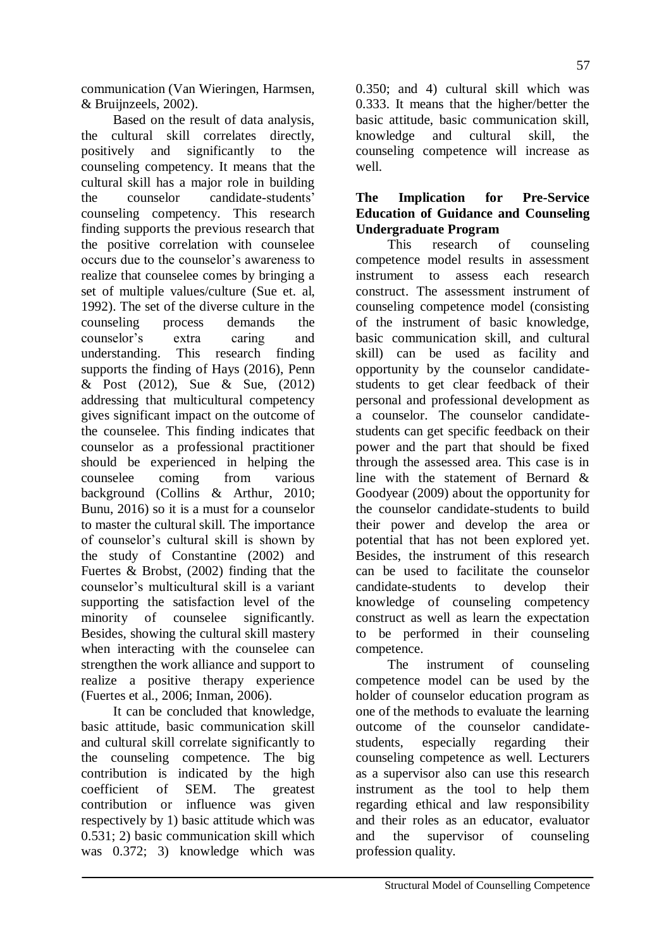communication (Van Wieringen, Harmsen, & Bruijnzeels, 2002).

Based on the result of data analysis, the cultural skill correlates directly, positively and significantly to the counseling competency. It means that the cultural skill has a major role in building the counselor candidate-students' counseling competency. This research finding supports the previous research that the positive correlation with counselee occurs due to the counselor's awareness to realize that counselee comes by bringing a set of multiple values/culture (Sue et. al, 1992). The set of the diverse culture in the counseling process demands the counselor's extra caring and<br>understanding. This research finding This research finding. supports the finding of Hays (2016), Penn & Post (2012), Sue & Sue, (2012) addressing that multicultural competency gives significant impact on the outcome of the counselee. This finding indicates that counselor as a professional practitioner should be experienced in helping the counselee coming from various background (Collins & Arthur, 2010; Bunu, 2016) so it is a must for a counselor to master the cultural skill. The importance of counselor's cultural skill is shown by the study of Constantine (2002) and Fuertes & Brobst, (2002) finding that the counselor's multicultural skill is a variant supporting the satisfaction level of the minority of counselee significantly. Besides, showing the cultural skill mastery when interacting with the counselee can strengthen the work alliance and support to realize a positive therapy experience (Fuertes et al., 2006; Inman, 2006).

It can be concluded that knowledge, basic attitude, basic communication skill and cultural skill correlate significantly to the counseling competence. The big contribution is indicated by the high coefficient of SEM. The greatest contribution or influence was given respectively by 1) basic attitude which was 0.531; 2) basic communication skill which was 0.372; 3) knowledge which was

0.350; and 4) cultural skill which was 0.333. It means that the higher/better the basic attitude, basic communication skill, knowledge and cultural skill, the counseling competence will increase as well.

### **The Implication for Pre-Service Education of Guidance and Counseling Undergraduate Program**

This research of counseling competence model results in assessment instrument to assess each research construct. The assessment instrument of counseling competence model (consisting of the instrument of basic knowledge, basic communication skill, and cultural skill) can be used as facility and opportunity by the counselor candidatestudents to get clear feedback of their personal and professional development as a counselor. The counselor candidatestudents can get specific feedback on their power and the part that should be fixed through the assessed area. This case is in line with the statement of Bernard & Goodyear (2009) about the opportunity for the counselor candidate-students to build their power and develop the area or potential that has not been explored yet. Besides, the instrument of this research can be used to facilitate the counselor candidate-students to develop their knowledge of counseling competency construct as well as learn the expectation to be performed in their counseling competence.

The instrument of counseling competence model can be used by the holder of counselor education program as one of the methods to evaluate the learning outcome of the counselor candidatestudents, especially regarding their counseling competence as well. Lecturers as a supervisor also can use this research instrument as the tool to help them regarding ethical and law responsibility and their roles as an educator, evaluator and the supervisor of counseling profession quality.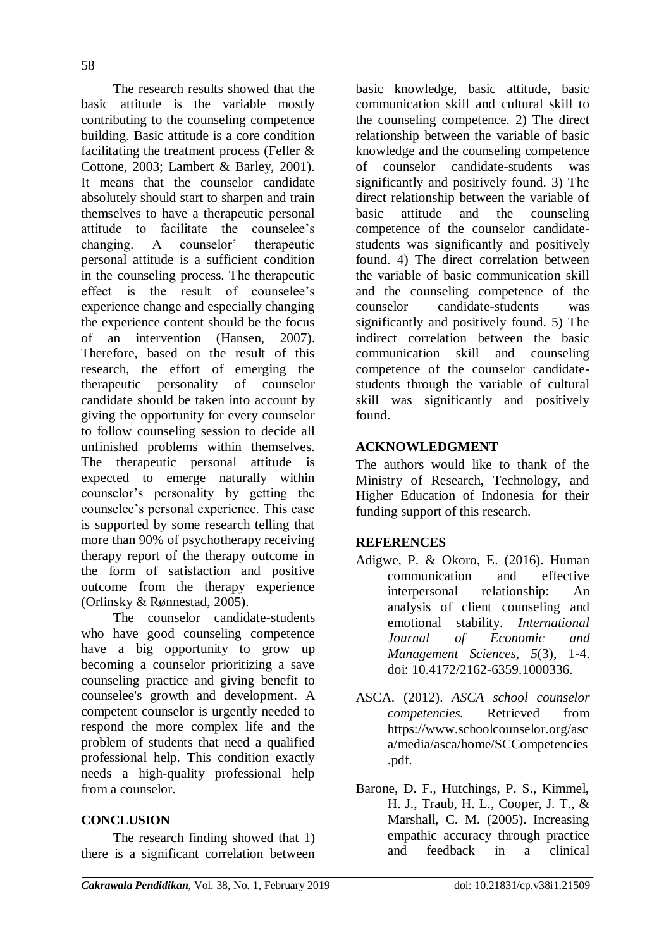The research results showed that the basic attitude is the variable mostly contributing to the counseling competence building. Basic attitude is a core condition facilitating the treatment process (Feller & Cottone, 2003; Lambert & Barley, 2001). It means that the counselor candidate absolutely should start to sharpen and train themselves to have a therapeutic personal attitude to facilitate the counselee's changing. A counselor' therapeutic personal attitude is a sufficient condition in the counseling process. The therapeutic effect is the result of counselee's experience change and especially changing the experience content should be the focus of an intervention (Hansen, 2007). Therefore, based on the result of this research, the effort of emerging the therapeutic personality of counselor candidate should be taken into account by giving the opportunity for every counselor to follow counseling session to decide all unfinished problems within themselves. The therapeutic personal attitude is expected to emerge naturally within counselor's personality by getting the counselee's personal experience. This case is supported by some research telling that more than 90% of psychotherapy receiving therapy report of the therapy outcome in the form of satisfaction and positive outcome from the therapy experience (Orlinsky & Rønnestad, 2005).

The counselor candidate-students who have good counseling competence have a big opportunity to grow up becoming a counselor prioritizing a save counseling practice and giving benefit to counselee's growth and development. A competent counselor is urgently needed to respond the more complex life and the problem of students that need a qualified professional help. This condition exactly needs a high-quality professional help from a counselor.

## **CONCLUSION**

The research finding showed that 1) there is a significant correlation between basic knowledge, basic attitude, basic communication skill and cultural skill to the counseling competence. 2) The direct relationship between the variable of basic knowledge and the counseling competence of counselor candidate-students was significantly and positively found. 3) The direct relationship between the variable of basic attitude and the counseling competence of the counselor candidatestudents was significantly and positively found. 4) The direct correlation between the variable of basic communication skill and the counseling competence of the counselor candidate-students was significantly and positively found. 5) The indirect correlation between the basic communication skill and counseling competence of the counselor candidatestudents through the variable of cultural skill was significantly and positively found.

### **ACKNOWLEDGMENT**

The authors would like to thank of the Ministry of Research, Technology, and Higher Education of Indonesia for their funding support of this research.

### **REFERENCES**

- Adigwe, P. & Okoro, E. (2016). Human communication and effective interpersonal relationship: An analysis of client counseling and emotional stability. *International Journal of Economic and Management Sciences*, *5*(3), 1-4. doi: 10.4172/2162-6359.1000336.
- ASCA. (2012). *ASCA school counselor competencies.* Retrieved from https://www.schoolcounselor.org/asc a/media/asca/home/SCCompetencies .pdf.
- Barone, D. F., Hutchings, P. S., Kimmel, H. J., Traub, H. L., Cooper, J. T., & Marshall, C. M. (2005). Increasing empathic accuracy through practice and feedback in a clinical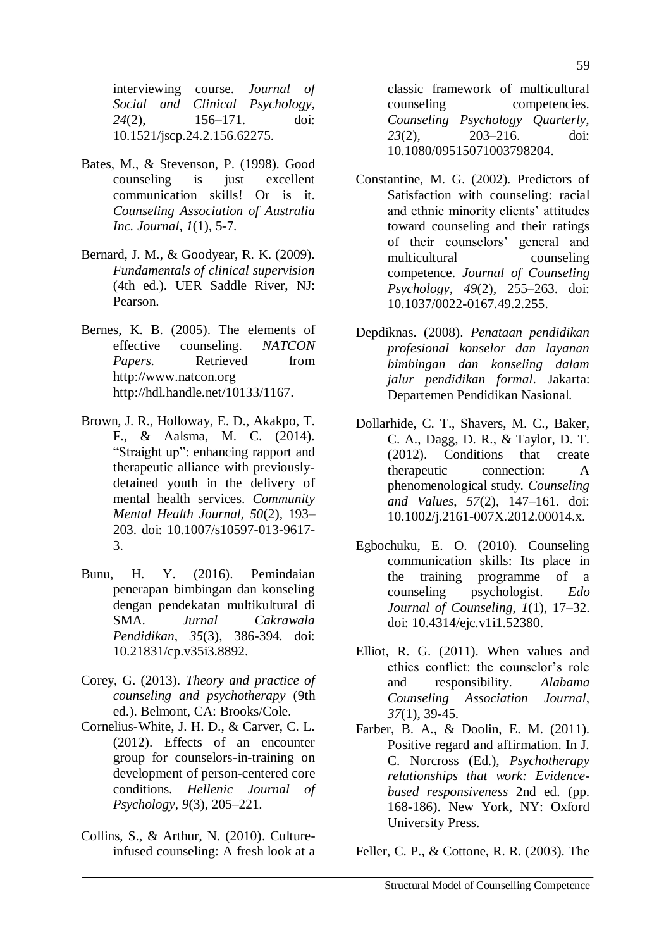interviewing course. *Journal of Social and Clinical Psychology*, *24*(2), 156–171. doi: 10.1521/jscp.24.2.156.62275.

- Bates, M., & Stevenson, P. (1998). Good counseling is just excellent communication skills! Or is it. *Counseling Association of Australia Inc. Journal, 1*(1), 5-7.
- Bernard, J. M., & Goodyear, R. K. (2009)*. Fundamentals of clinical supervision* (4th ed.). UER Saddle River, NJ: Pearson.
- Bernes, K. B. (2005). The elements of effective counseling. *NATCON Papers.* Retrieved from http://www.natcon.org http://hdl.handle.net/10133/1167.
- Brown, J. R., Holloway, E. D., Akakpo, T. F., & Aalsma, M. C. (2014). "Straight up": enhancing rapport and therapeutic alliance with previouslydetained youth in the delivery of mental health services. *Community Mental Health Journal, 50*(2)*,* 193– 203. doi: 10.1007/s10597-013-9617- 3.
- Bunu, H. Y. (2016). Pemindaian penerapan bimbingan dan konseling dengan pendekatan multikultural di SMA. *Jurnal Cakrawala Pendidikan*, *35*(3), 386-394. doi: 10.21831/cp.v35i3.8892.
- Corey, G. (2013). *Theory and practice of counseling and psychotherapy* (9th ed.). Belmont, CA: Brooks/Cole.
- Cornelius-White, J. H. D., & Carver, C. L. (2012). Effects of an encounter group for counselors-in-training on development of person-centered core conditions. *Hellenic Journal of Psychology*, *9*(3), 205–221.
- Collins, S., & Arthur, N. (2010). Cultureinfused counseling: A fresh look at a

classic framework of multicultural counseling competencies. *Counseling Psychology Quarterly, 23*(2)*,* 203–216. doi: [10.1080/09515071003798204.](https://doi.org/10.1080/09515071003798204)

- Constantine, M. G. (2002). Predictors of Satisfaction with counseling: racial and ethnic minority clients' attitudes toward counseling and their ratings of their counselors' general and multicultural counseling competence. *Journal of Counseling Psychology, 49*(2)*,* 255–263. doi: [10.1037/0022-0167.49.2.255.](https://psycnet.apa.org/doi/10.1037/0022-0167.49.2.255)
- Depdiknas. (2008). *Penataan pendidikan profesional konselor dan layanan bimbingan dan konseling dalam jalur pendidikan formal*. Jakarta: Departemen Pendidikan Nasional.
- Dollarhide, C. T., Shavers, M. C., Baker, C. A., Dagg, D. R., & Taylor, D. T. (2012). Conditions that create therapeutic connection: A phenomenological study. *Counseling and Values*, *57*(2), 147–161. doi: 10.1002/j.2161-007X.2012.00014.x.
- Egbochuku, E. O. (2010). Counseling communication skills: Its place in the training programme of a counseling psychologist. *Edo Journal of Counseling*, *1*(1), 17–32. doi: 10.4314/ejc.v1i1.52380.
- Elliot, R. G. (2011). When values and ethics conflict: the counselor's role and responsibility. *Alabama Counseling Association Journal*, *37*(1), 39-45.
- Farber, B. A., & Doolin, E. M. (2011). Positive regard and affirmation. In J. C. Norcross (Ed.), *Psychotherapy relationships that work: Evidencebased responsiveness* 2nd ed. (pp. 168-186). New York, NY: Oxford University Press.

Feller, C. P., & Cottone, R. R. (2003). The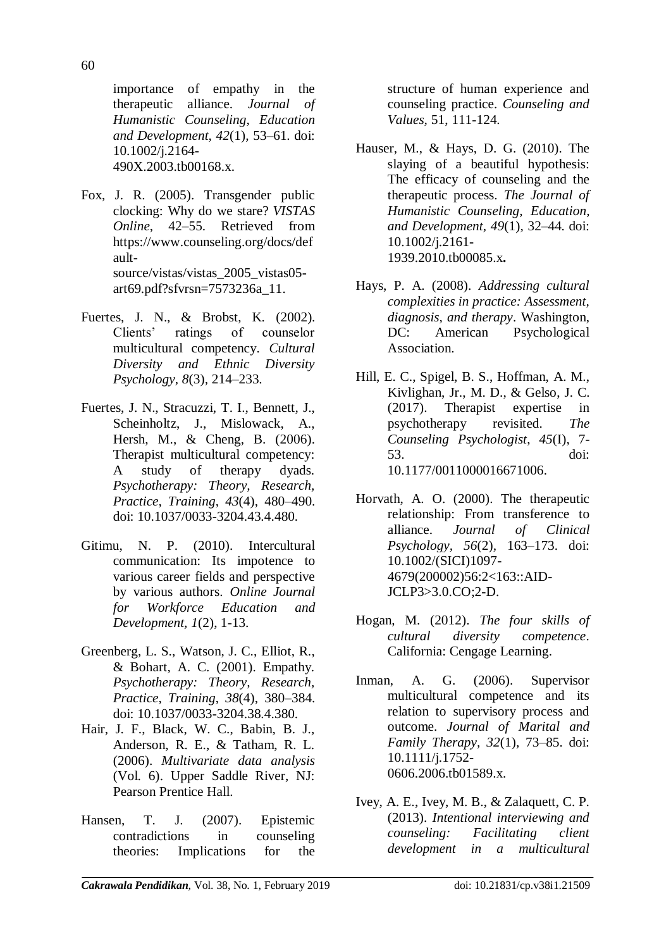importance of empathy in the therapeutic alliance. *Journal of Humanistic Counseling, Education and Development, 42*(1)*,* 53–61. doi: [10.1002/j.2164-](https://doi.org/10.1002/j.2164-490X.2003.tb00168.x) [490X.2003.tb00168.x.](https://doi.org/10.1002/j.2164-490X.2003.tb00168.x)

- Fox, J. R. (2005). Transgender public clocking: Why do we stare? *VISTAS Online*, 42–55. Retrieved from https://www.counseling.org/docs/def aultsource/vistas/vistas\_2005\_vistas05 art69.pdf?sfvrsn=7573236a\_11.
- Fuertes, J. N., & Brobst, K. (2002). Clients' ratings of counselor multicultural competency. *Cultural Diversity and Ethnic Diversity Psychology, 8*(3)*,* 214–233.
- Fuertes, J. N., Stracuzzi, T. I., Bennett, J., Scheinholtz, J., Mislowack, A., Hersh, M., & Cheng, B. (2006). Therapist multicultural competency: A study of therapy dyads*. Psychotherapy: Theory, Research, Practice, Training*, *43*(4), 480–490. doi: [10.1037/0033-3204.43.4.480.](https://doi.org/10.1037/0033-3204.43.4.480)
- Gitimu, N. P. (2010). Intercultural communication: Its impotence to various career fields and perspective by various authors. *Online Journal for Workforce Education and Development, 1*(2), 1-13.
- Greenberg, L. S., Watson, J. C., Elliot, R., & Bohart, A. C. (2001). Empathy. *Psychotherapy: Theory, Research, Practice, Training*, *38*(4), 380–384. doi: [10.1037/0033-3204.38.4.380.](https://psycnet.apa.org/doi/10.1037/0033-3204.38.4.380)
- Hair, J. F., Black, W. C., Babin, B. J., Anderson, R. E., & Tatham, R. L. (2006). *Multivariate data analysis*  (Vol. 6). Upper Saddle River, NJ: Pearson Prentice Hall.
- Hansen, T. J. (2007). Epistemic contradictions in counseling theories: Implications for the

structure of human experience and counseling practice. *Counseling and Values,* 51, 111-124.

- Hauser, M., & Hays, D. G. (2010). The slaying of a beautiful hypothesis: The efficacy of counseling and the therapeutic process. *The Journal of Humanistic Counseling, Education, and Development, 49*(1)*,* 32–44. doi: [10.1002/j.2161-](https://doi.org/10.1002/j.2161-1939.2010.tb00085.x) [1939.2010.tb00085.x](https://doi.org/10.1002/j.2161-1939.2010.tb00085.x)**.**
- Hays, P. A. (2008). *Addressing cultural complexities in practice: Assessment, diagnosis, and therapy*. Washington, DC: American Psychological Association.
- Hill, E. C., Spigel, B. S., Hoffman, A. M., Kivlighan, Jr., M. D., & Gelso, J. C. (2017). Therapist expertise in psychotherapy revisited. *The Counseling Psychologist*, *45*(I), 7- 53. doi: [10.1177/0011000016671006.](https://doi.org/10.1177%2F0011000016671006)
- Horvath, A. O. (2000). The therapeutic relationship: From transference to alliance. *Journal of Clinical Psychology, 56*(2)*,* 163–173. doi: [10.1002/\(SICI\)1097-](https://psycnet.apa.org/doi/10.1002/(SICI)1097-4679(200002)56:2%3C163::AID-JCLP3%3E3.0.CO;2-D) [4679\(200002\)56:2<163::AID-](https://psycnet.apa.org/doi/10.1002/(SICI)1097-4679(200002)56:2%3C163::AID-JCLP3%3E3.0.CO;2-D)[JCLP3>3.0.CO;2-D.](https://psycnet.apa.org/doi/10.1002/(SICI)1097-4679(200002)56:2%3C163::AID-JCLP3%3E3.0.CO;2-D)
- Hogan, M. (2012). *The four skills of cultural diversity competence*. California: Cengage Learning.
- Inman, A. G. (2006). Supervisor multicultural competence and its relation to supervisory process and outcome. *Journal of Marital and Family Therapy, 32*(1)*,* 73–85. doi: [10.1111/j.1752-](https://psycnet.apa.org/doi/10.1111/j.1752-0606.2006.tb01589.x) [0606.2006.tb01589.x.](https://psycnet.apa.org/doi/10.1111/j.1752-0606.2006.tb01589.x)
- Ivey, A. E., Ivey, M. B., & Zalaquett, C. P. (2013). *Intentional interviewing and counseling: Facilitating client development in a multicultural*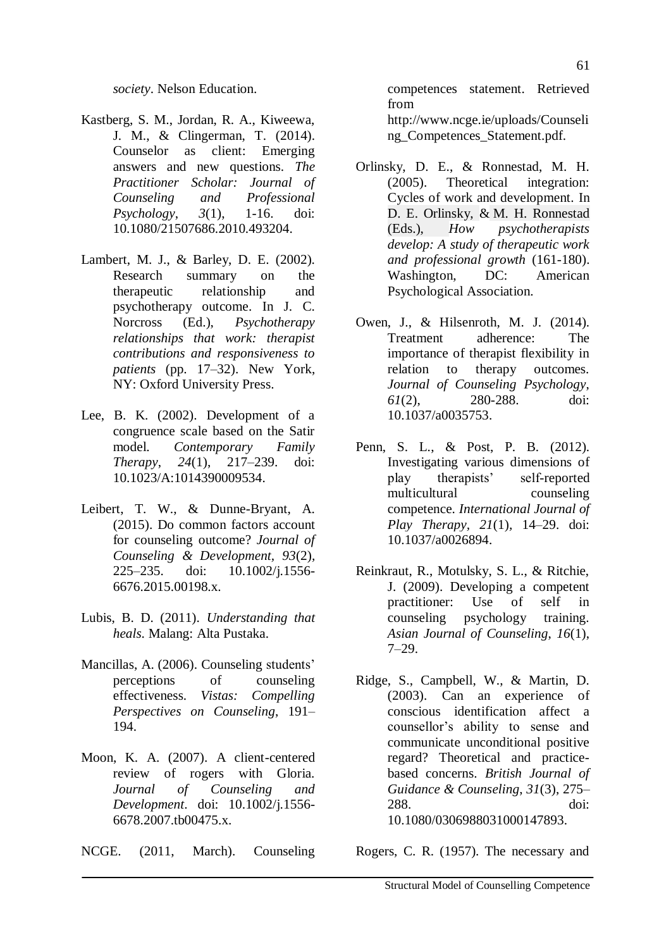*society*. Nelson Education.

- Kastberg, S. M., Jordan, R. A., Kiweewa, J. M., & Clingerman, T. (2014). Counselor as client: Emerging answers and new questions. *The Practitioner Scholar: Journal of Counseling and Professional Psychology*, *3*(1), 1-16. doi: [10.1080/21507686.2010.493204.](https://doi.org/10.1080/21507686.2010.493204)
- Lambert, M. J., & Barley, D. E. (2002). Research summary on the therapeutic relationship and psychotherapy outcome. In J. C. Norcross (Ed.), *Psychotherapy relationships that work: therapist contributions and responsiveness to patients* (pp. 17–32). New York, NY: Oxford University Press.
- Lee, B. K. (2002). Development of a congruence scale based on the Satir model. *Contemporary Family Therapy*, *24*(1), 217–239. doi: 10.1023/A:1014390009534.
- Leibert, T. W., & Dunne-Bryant, A. (2015). Do common factors account for counseling outcome? *Journal of Counseling & Development, 93*(2)*,*  225–235. doi: [10.1002/j.1556-](https://psycnet.apa.org/doi/10.1002/j.1556-6676.2015.00198.x) [6676.2015.00198.x.](https://psycnet.apa.org/doi/10.1002/j.1556-6676.2015.00198.x)
- Lubis, B. D. (2011). *Understanding that heals*. Malang: Alta Pustaka.
- Mancillas, A. (2006). Counseling students' perceptions of counseling effectiveness. *Vistas: Compelling Perspectives on Counseling*, 191– 194.
- Moon, K. A. (2007). A client-centered review of rogers with Gloria. *Journal of Counseling and Development*. doi: 10.1002/j.1556- 6678.2007.tb00475.x.
- NCGE. (2011, March). Counseling

competences statement. Retrieved from http://www.ncge.ie/uploads/Counseli ng\_Competences\_Statement.pdf.

- Orlinsky, D. E., & Ronnestad, M. H. (2005). Theoretical integration: Cycles of work and development. In D. E. [Orlinsky,](https://www.apa.org/search.aspx?query=&fq=ContributorFilt:%22Orlinsky,%20David%20E.%22&sort=ContentDateSort%20desc) & M. H. [Ronnestad](https://www.apa.org/search.aspx?query=&fq=ContributorFilt:%22Ronnestad,%20M.%20Helge%22&sort=ContentDateSort%20desc) [\(Eds.\),](https://www.apa.org/search.aspx?query=&fq=ContributorFilt:%22Ronnestad,%20M.%20Helge%22&sort=ContentDateSort%20desc) *How psychotherapists develop: A study of therapeutic work and professional growth* (161-180). Washington, DC: American Psychological Association.
- Owen, J., & Hilsenroth, M. J. (2014). Treatment adherence: The importance of therapist flexibility in relation to therapy outcomes. *Journal of Counseling Psychology*, *61*(2), 280-288. doi: 10.1037/a0035753.
- Penn, S. L., & Post, P. B. (2012). Investigating various dimensions of play therapists' self-reported multicultural counseling competence. *International Journal of Play Therapy, 21*(1)*,* 14–29. doi: [10.1037/a0026894.](https://psycnet.apa.org/doi/10.1037/a0026894)
- Reinkraut, R., Motulsky, S. L., & Ritchie, J. (2009). Developing a competent practitioner: Use of self in counseling psychology training. *Asian Journal of Counseling*, *16*(1), 7–29.
- Ridge, S., Campbell, W., & Martin, D. (2003). Can an experience of conscious identification affect a counsellor's ability to sense and communicate unconditional positive regard? Theoretical and practicebased concerns. *British Journal of Guidance & Counseling*, *31*(3), 275– 288. doi: 10.1080/0306988031000147893.

Rogers, C. R. (1957). The necessary and